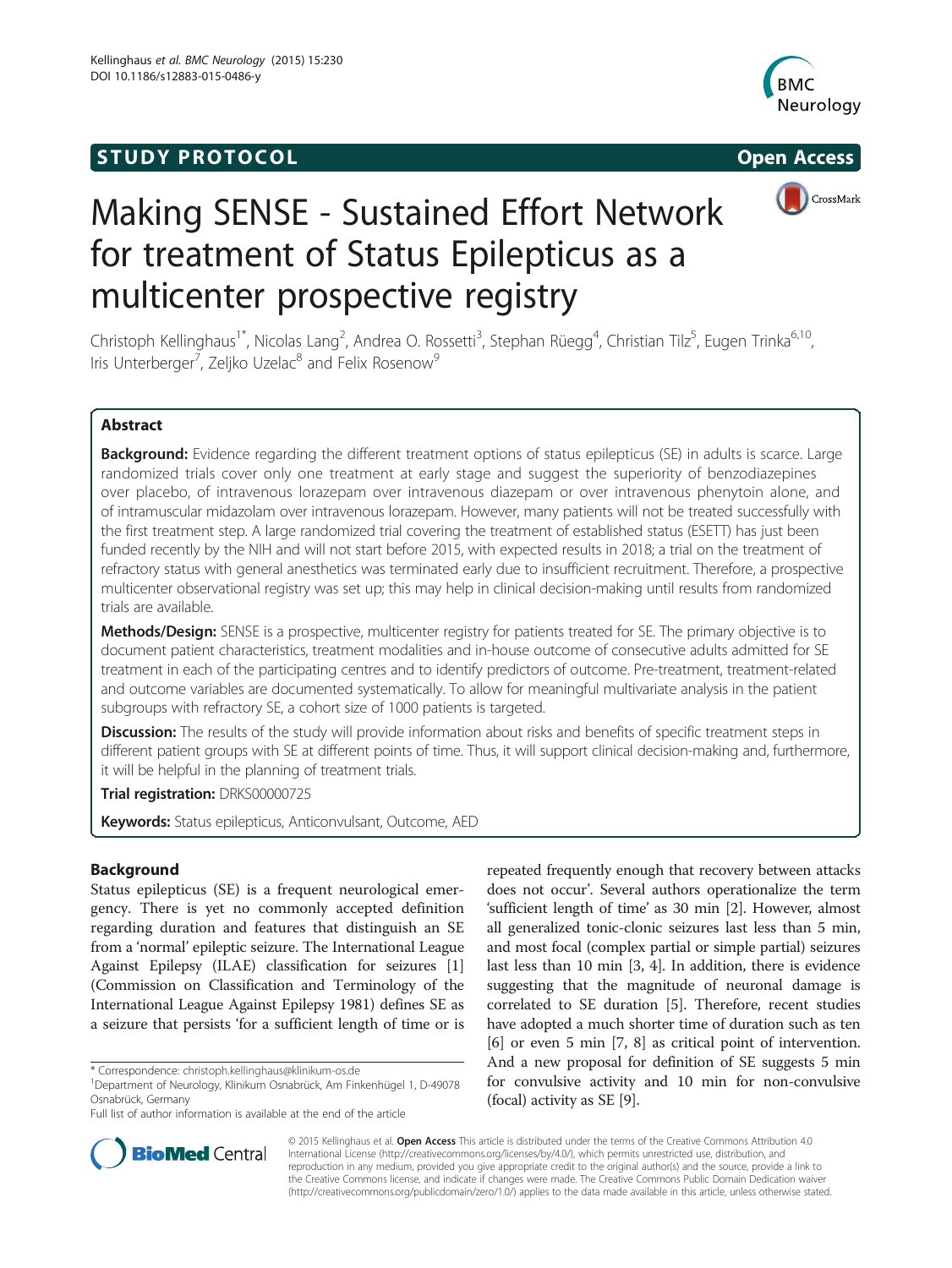# **STUDY PROTOCOL CONSUMING THE CONSUMING OPEN ACCESS**





# Making SENSE - Sustained Effort Network for treatment of Status Epilepticus as a multicenter prospective registry

Christoph Kellinghaus<sup>1\*</sup>, Nicolas Lang<sup>2</sup>, Andrea O. Rossetti<sup>3</sup>, Stephan Rüegg<sup>4</sup>, Christian Tilz<sup>5</sup>, Eugen Trinka<sup>6,10</sup>, Iris Unterberger<sup>7</sup>, Zeljko Uzelac<sup>8</sup> and Felix Rosenow<sup>9</sup>

# Abstract

Background: Evidence regarding the different treatment options of status epilepticus (SE) in adults is scarce. Large randomized trials cover only one treatment at early stage and suggest the superiority of benzodiazepines over placebo, of intravenous lorazepam over intravenous diazepam or over intravenous phenytoin alone, and of intramuscular midazolam over intravenous lorazepam. However, many patients will not be treated successfully with the first treatment step. A large randomized trial covering the treatment of established status (ESETT) has just been funded recently by the NIH and will not start before 2015, with expected results in 2018; a trial on the treatment of refractory status with general anesthetics was terminated early due to insufficient recruitment. Therefore, a prospective multicenter observational registry was set up; this may help in clinical decision-making until results from randomized trials are available.

Methods/Design: SENSE is a prospective, multicenter registry for patients treated for SE. The primary objective is to document patient characteristics, treatment modalities and in-house outcome of consecutive adults admitted for SE treatment in each of the participating centres and to identify predictors of outcome. Pre-treatment, treatment-related and outcome variables are documented systematically. To allow for meaningful multivariate analysis in the patient subgroups with refractory SE, a cohort size of 1000 patients is targeted.

**Discussion:** The results of the study will provide information about risks and benefits of specific treatment steps in different patient groups with SE at different points of time. Thus, it will support clinical decision-making and, furthermore, it will be helpful in the planning of treatment trials.

Trial registration: [DRKS00000725](https://drks-neu.uniklinik-freiburg.de/drks_web/navigate.do?navigationID=trial.html&trial_ID=DRKS00000725)

Keywords: Status epilepticus, Anticonvulsant, Outcome, AED

# Background

Status epilepticus (SE) is a frequent neurological emergency. There is yet no commonly accepted definition regarding duration and features that distinguish an SE from a 'normal' epileptic seizure. The International League Against Epilepsy (ILAE) classification for seizures [[1](#page-5-0)] (Commission on Classification and Terminology of the International League Against Epilepsy 1981) defines SE as a seizure that persists 'for a sufficient length of time or is

repeated frequently enough that recovery between attacks does not occur'. Several authors operationalize the term 'sufficient length of time' as 30 min [\[2](#page-5-0)]. However, almost all generalized tonic-clonic seizures last less than 5 min, and most focal (complex partial or simple partial) seizures last less than 10 min [\[3](#page-5-0), [4](#page-5-0)]. In addition, there is evidence suggesting that the magnitude of neuronal damage is correlated to SE duration [[5\]](#page-5-0). Therefore, recent studies have adopted a much shorter time of duration such as ten [[6\]](#page-5-0) or even 5 min [[7, 8](#page-5-0)] as critical point of intervention. And a new proposal for definition of SE suggests 5 min for convulsive activity and 10 min for non-convulsive (focal) activity as SE [\[9](#page-5-0)].



© 2015 Kellinghaus et al. Open Access This article is distributed under the terms of the Creative Commons Attribution 4.0 International License [\(http://creativecommons.org/licenses/by/4.0/](http://creativecommons.org/licenses/by/4.0/)), which permits unrestricted use, distribution, and reproduction in any medium, provided you give appropriate credit to the original author(s) and the source, provide a link to the Creative Commons license, and indicate if changes were made. The Creative Commons Public Domain Dedication waiver [\(http://creativecommons.org/publicdomain/zero/1.0/](http://creativecommons.org/publicdomain/zero/1.0/)) applies to the data made available in this article, unless otherwise stated.

<sup>\*</sup> Correspondence: [christoph.kellinghaus@klinikum-os.de](mailto:christoph.kellinghaus@klinikum-os.de) <sup>1</sup>

Department of Neurology, Klinikum Osnabrück, Am Finkenhügel 1, D-49078 Osnabrück, Germany

Full list of author information is available at the end of the article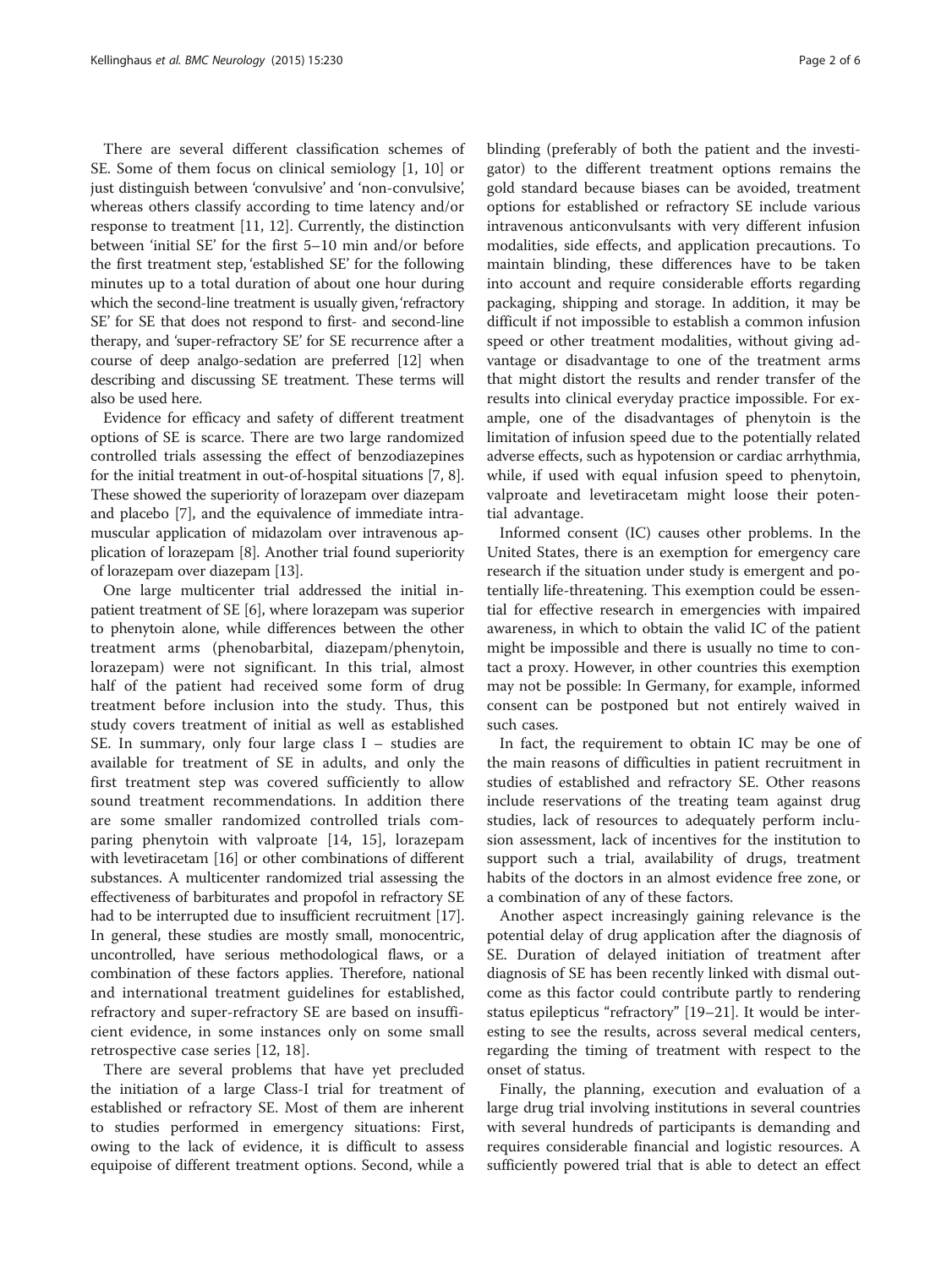There are several different classification schemes of SE. Some of them focus on clinical semiology [[1](#page-5-0), [10\]](#page-5-0) or just distinguish between 'convulsive' and 'non-convulsive', whereas others classify according to time latency and/or response to treatment [\[11](#page-5-0), [12](#page-5-0)]. Currently, the distinction between 'initial SE' for the first 5–10 min and/or before the first treatment step, 'established SE' for the following minutes up to a total duration of about one hour during which the second-line treatment is usually given, 'refractory SE' for SE that does not respond to first- and second-line therapy, and 'super-refractory SE' for SE recurrence after a course of deep analgo-sedation are preferred [[12](#page-5-0)] when describing and discussing SE treatment. These terms will also be used here.

Evidence for efficacy and safety of different treatment options of SE is scarce. There are two large randomized controlled trials assessing the effect of benzodiazepines for the initial treatment in out-of-hospital situations [[7, 8](#page-5-0)]. These showed the superiority of lorazepam over diazepam and placebo [\[7](#page-5-0)], and the equivalence of immediate intramuscular application of midazolam over intravenous application of lorazepam [[8](#page-5-0)]. Another trial found superiority of lorazepam over diazepam [[13](#page-5-0)].

One large multicenter trial addressed the initial inpatient treatment of SE [[6\]](#page-5-0), where lorazepam was superior to phenytoin alone, while differences between the other treatment arms (phenobarbital, diazepam/phenytoin, lorazepam) were not significant. In this trial, almost half of the patient had received some form of drug treatment before inclusion into the study. Thus, this study covers treatment of initial as well as established SE. In summary, only four large class I – studies are available for treatment of SE in adults, and only the first treatment step was covered sufficiently to allow sound treatment recommendations. In addition there are some smaller randomized controlled trials comparing phenytoin with valproate [[14](#page-5-0), [15](#page-5-0)], lorazepam with levetiracetam [[16](#page-5-0)] or other combinations of different substances. A multicenter randomized trial assessing the effectiveness of barbiturates and propofol in refractory SE had to be interrupted due to insufficient recruitment [[17](#page-5-0)]. In general, these studies are mostly small, monocentric, uncontrolled, have serious methodological flaws, or a combination of these factors applies. Therefore, national and international treatment guidelines for established, refractory and super-refractory SE are based on insufficient evidence, in some instances only on some small retrospective case series [\[12](#page-5-0), [18](#page-5-0)].

There are several problems that have yet precluded the initiation of a large Class-I trial for treatment of established or refractory SE. Most of them are inherent to studies performed in emergency situations: First, owing to the lack of evidence, it is difficult to assess equipoise of different treatment options. Second, while a blinding (preferably of both the patient and the investigator) to the different treatment options remains the gold standard because biases can be avoided, treatment options for established or refractory SE include various intravenous anticonvulsants with very different infusion modalities, side effects, and application precautions. To maintain blinding, these differences have to be taken into account and require considerable efforts regarding packaging, shipping and storage. In addition, it may be difficult if not impossible to establish a common infusion speed or other treatment modalities, without giving advantage or disadvantage to one of the treatment arms that might distort the results and render transfer of the results into clinical everyday practice impossible. For example, one of the disadvantages of phenytoin is the limitation of infusion speed due to the potentially related

adverse effects, such as hypotension or cardiac arrhythmia, while, if used with equal infusion speed to phenytoin, valproate and levetiracetam might loose their potential advantage.

Informed consent (IC) causes other problems. In the United States, there is an exemption for emergency care research if the situation under study is emergent and potentially life-threatening. This exemption could be essential for effective research in emergencies with impaired awareness, in which to obtain the valid IC of the patient might be impossible and there is usually no time to contact a proxy. However, in other countries this exemption may not be possible: In Germany, for example, informed consent can be postponed but not entirely waived in such cases.

In fact, the requirement to obtain IC may be one of the main reasons of difficulties in patient recruitment in studies of established and refractory SE. Other reasons include reservations of the treating team against drug studies, lack of resources to adequately perform inclusion assessment, lack of incentives for the institution to support such a trial, availability of drugs, treatment habits of the doctors in an almost evidence free zone, or a combination of any of these factors.

Another aspect increasingly gaining relevance is the potential delay of drug application after the diagnosis of SE. Duration of delayed initiation of treatment after diagnosis of SE has been recently linked with dismal outcome as this factor could contribute partly to rendering status epilepticus "refractory" [\[19](#page-5-0)–[21](#page-5-0)]. It would be interesting to see the results, across several medical centers, regarding the timing of treatment with respect to the onset of status.

Finally, the planning, execution and evaluation of a large drug trial involving institutions in several countries with several hundreds of participants is demanding and requires considerable financial and logistic resources. A sufficiently powered trial that is able to detect an effect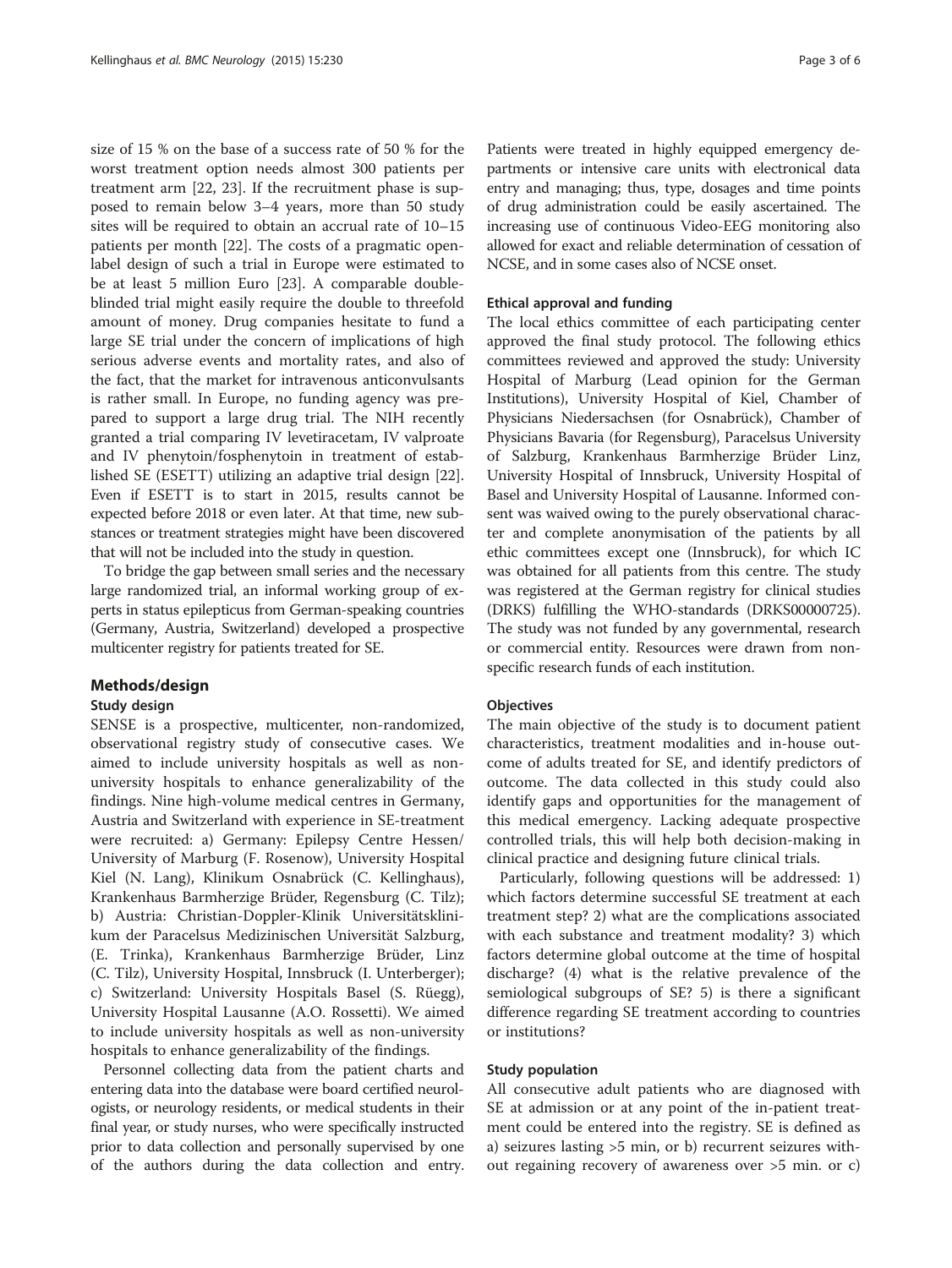size of 15 % on the base of a success rate of 50 % for the worst treatment option needs almost 300 patients per treatment arm [\[22](#page-5-0), [23\]](#page-5-0). If the recruitment phase is supposed to remain below 3–4 years, more than 50 study sites will be required to obtain an accrual rate of 10–15 patients per month [\[22](#page-5-0)]. The costs of a pragmatic openlabel design of such a trial in Europe were estimated to be at least 5 million Euro [\[23\]](#page-5-0). A comparable doubleblinded trial might easily require the double to threefold amount of money. Drug companies hesitate to fund a large SE trial under the concern of implications of high serious adverse events and mortality rates, and also of the fact, that the market for intravenous anticonvulsants is rather small. In Europe, no funding agency was prepared to support a large drug trial. The NIH recently granted a trial comparing IV levetiracetam, IV valproate and IV phenytoin/fosphenytoin in treatment of established SE (ESETT) utilizing an adaptive trial design [\[22](#page-5-0)]. Even if ESETT is to start in 2015, results cannot be expected before 2018 or even later. At that time, new substances or treatment strategies might have been discovered that will not be included into the study in question.

To bridge the gap between small series and the necessary large randomized trial, an informal working group of experts in status epilepticus from German-speaking countries (Germany, Austria, Switzerland) developed a prospective multicenter registry for patients treated for SE.

# Methods/design

#### Study design

SENSE is a prospective, multicenter, non-randomized, observational registry study of consecutive cases. We aimed to include university hospitals as well as nonuniversity hospitals to enhance generalizability of the findings. Nine high-volume medical centres in Germany, Austria and Switzerland with experience in SE-treatment were recruited: a) Germany: Epilepsy Centre Hessen/ University of Marburg (F. Rosenow), University Hospital Kiel (N. Lang), Klinikum Osnabrück (C. Kellinghaus), Krankenhaus Barmherzige Brüder, Regensburg (C. Tilz); b) Austria: Christian-Doppler-Klinik Universitätsklinikum der Paracelsus Medizinischen Universität Salzburg, (E. Trinka), Krankenhaus Barmherzige Brüder, Linz (C. Tilz), University Hospital, Innsbruck (I. Unterberger); c) Switzerland: University Hospitals Basel (S. Rüegg), University Hospital Lausanne (A.O. Rossetti). We aimed to include university hospitals as well as non-university hospitals to enhance generalizability of the findings.

Personnel collecting data from the patient charts and entering data into the database were board certified neurologists, or neurology residents, or medical students in their final year, or study nurses, who were specifically instructed prior to data collection and personally supervised by one of the authors during the data collection and entry.

Patients were treated in highly equipped emergency departments or intensive care units with electronical data entry and managing; thus, type, dosages and time points of drug administration could be easily ascertained. The increasing use of continuous Video-EEG monitoring also allowed for exact and reliable determination of cessation of NCSE, and in some cases also of NCSE onset.

#### Ethical approval and funding

The local ethics committee of each participating center approved the final study protocol. The following ethics committees reviewed and approved the study: University Hospital of Marburg (Lead opinion for the German Institutions), University Hospital of Kiel, Chamber of Physicians Niedersachsen (for Osnabrück), Chamber of Physicians Bavaria (for Regensburg), Paracelsus University of Salzburg, Krankenhaus Barmherzige Brüder Linz, University Hospital of Innsbruck, University Hospital of Basel and University Hospital of Lausanne. Informed consent was waived owing to the purely observational character and complete anonymisation of the patients by all ethic committees except one (Innsbruck), for which IC was obtained for all patients from this centre. The study was registered at the German registry for clinical studies (DRKS) fulfilling the WHO-standards (DRKS00000725). The study was not funded by any governmental, research or commercial entity. Resources were drawn from nonspecific research funds of each institution.

#### **Objectives**

The main objective of the study is to document patient characteristics, treatment modalities and in-house outcome of adults treated for SE, and identify predictors of outcome. The data collected in this study could also identify gaps and opportunities for the management of this medical emergency. Lacking adequate prospective controlled trials, this will help both decision-making in clinical practice and designing future clinical trials.

Particularly, following questions will be addressed: 1) which factors determine successful SE treatment at each treatment step? 2) what are the complications associated with each substance and treatment modality? 3) which factors determine global outcome at the time of hospital discharge? (4) what is the relative prevalence of the semiological subgroups of SE? 5) is there a significant difference regarding SE treatment according to countries or institutions?

# Study population

All consecutive adult patients who are diagnosed with SE at admission or at any point of the in-patient treatment could be entered into the registry. SE is defined as a) seizures lasting >5 min, or b) recurrent seizures without regaining recovery of awareness over >5 min. or c)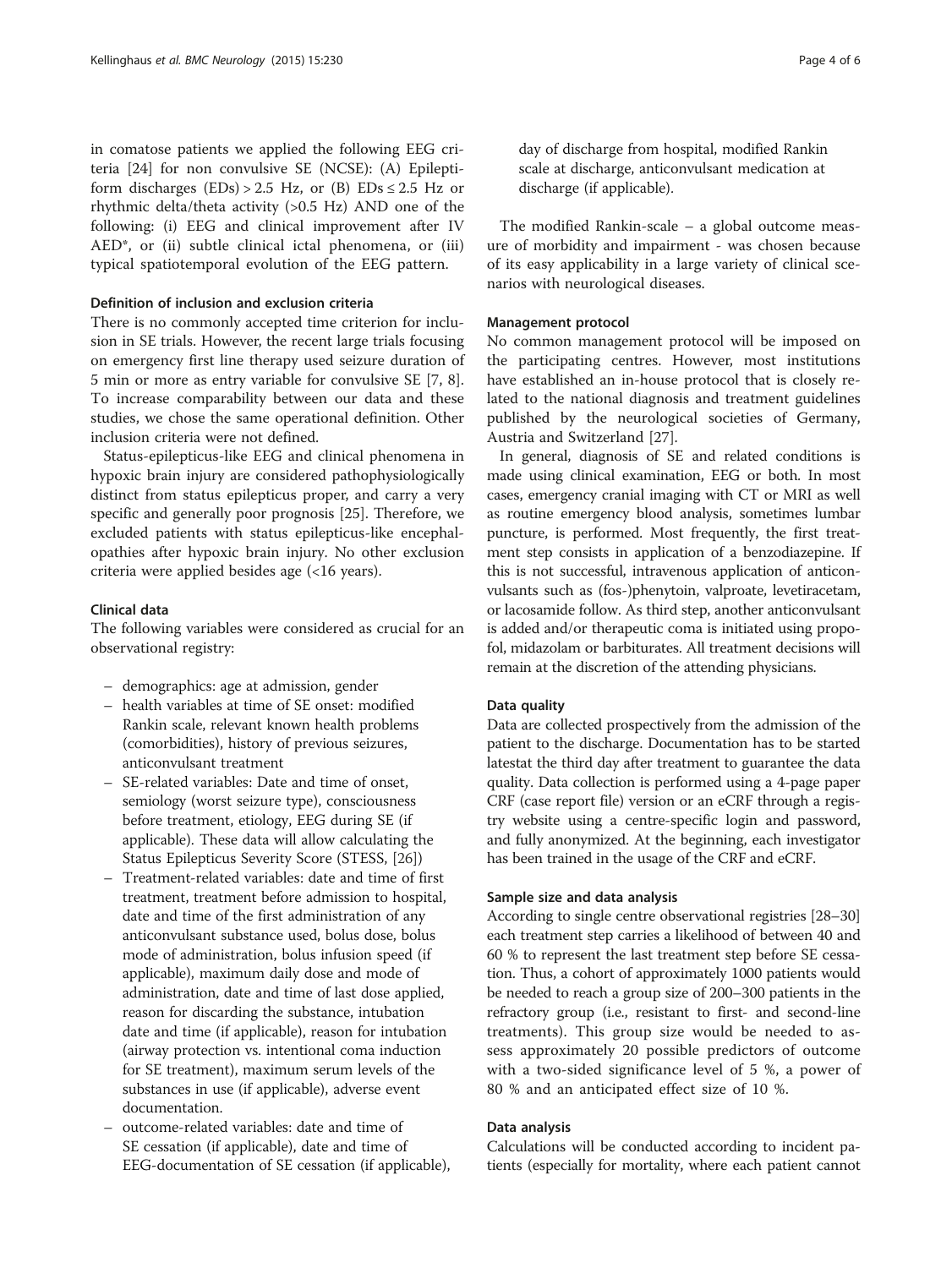in comatose patients we applied the following EEG criteria [[24\]](#page-5-0) for non convulsive SE (NCSE): (A) Epileptiform discharges  $(EDs) > 2.5$  Hz, or  $(B)$  EDs  $\le 2.5$  Hz or rhythmic delta/theta activity (>0.5 Hz) AND one of the following: (i) EEG and clinical improvement after IV AED\*, or (ii) subtle clinical ictal phenomena, or (iii) typical spatiotemporal evolution of the EEG pattern.

# Definition of inclusion and exclusion criteria

There is no commonly accepted time criterion for inclusion in SE trials. However, the recent large trials focusing on emergency first line therapy used seizure duration of 5 min or more as entry variable for convulsive SE [[7, 8](#page-5-0)]. To increase comparability between our data and these studies, we chose the same operational definition. Other inclusion criteria were not defined.

Status-epilepticus-like EEG and clinical phenomena in hypoxic brain injury are considered pathophysiologically distinct from status epilepticus proper, and carry a very specific and generally poor prognosis [[25](#page-5-0)]. Therefore, we excluded patients with status epilepticus-like encephalopathies after hypoxic brain injury. No other exclusion criteria were applied besides age (<16 years).

# Clinical data

The following variables were considered as crucial for an observational registry:

- demographics: age at admission, gender
- health variables at time of SE onset: modified Rankin scale, relevant known health problems (comorbidities), history of previous seizures, anticonvulsant treatment
- SE-related variables: Date and time of onset, semiology (worst seizure type), consciousness before treatment, etiology, EEG during SE (if applicable). These data will allow calculating the Status Epilepticus Severity Score (STESS, [[26](#page-5-0)])
- Treatment-related variables: date and time of first treatment, treatment before admission to hospital, date and time of the first administration of any anticonvulsant substance used, bolus dose, bolus mode of administration, bolus infusion speed (if applicable), maximum daily dose and mode of administration, date and time of last dose applied, reason for discarding the substance, intubation date and time (if applicable), reason for intubation (airway protection vs. intentional coma induction for SE treatment), maximum serum levels of the substances in use (if applicable), adverse event documentation.
- outcome-related variables: date and time of SE cessation (if applicable), date and time of EEG-documentation of SE cessation (if applicable),

day of discharge from hospital, modified Rankin scale at discharge, anticonvulsant medication at discharge (if applicable).

The modified Rankin-scale – a global outcome measure of morbidity and impairment - was chosen because of its easy applicability in a large variety of clinical scenarios with neurological diseases.

# Management protocol

No common management protocol will be imposed on the participating centres. However, most institutions have established an in-house protocol that is closely related to the national diagnosis and treatment guidelines published by the neurological societies of Germany, Austria and Switzerland [\[27\]](#page-5-0).

In general, diagnosis of SE and related conditions is made using clinical examination, EEG or both. In most cases, emergency cranial imaging with CT or MRI as well as routine emergency blood analysis, sometimes lumbar puncture, is performed. Most frequently, the first treatment step consists in application of a benzodiazepine. If this is not successful, intravenous application of anticonvulsants such as (fos-)phenytoin, valproate, levetiracetam, or lacosamide follow. As third step, another anticonvulsant is added and/or therapeutic coma is initiated using propofol, midazolam or barbiturates. All treatment decisions will remain at the discretion of the attending physicians.

#### Data quality

Data are collected prospectively from the admission of the patient to the discharge. Documentation has to be started latestat the third day after treatment to guarantee the data quality. Data collection is performed using a 4-page paper CRF (case report file) version or an eCRF through a registry website using a centre-specific login and password, and fully anonymized. At the beginning, each investigator has been trained in the usage of the CRF and eCRF.

# Sample size and data analysis

According to single centre observational registries [\[28](#page-5-0)–[30](#page-5-0)] each treatment step carries a likelihood of between 40 and 60 % to represent the last treatment step before SE cessation. Thus, a cohort of approximately 1000 patients would be needed to reach a group size of 200–300 patients in the refractory group (i.e., resistant to first- and second-line treatments). This group size would be needed to assess approximately 20 possible predictors of outcome with a two-sided significance level of 5 %, a power of 80 % and an anticipated effect size of 10 %.

#### Data analysis

Calculations will be conducted according to incident patients (especially for mortality, where each patient cannot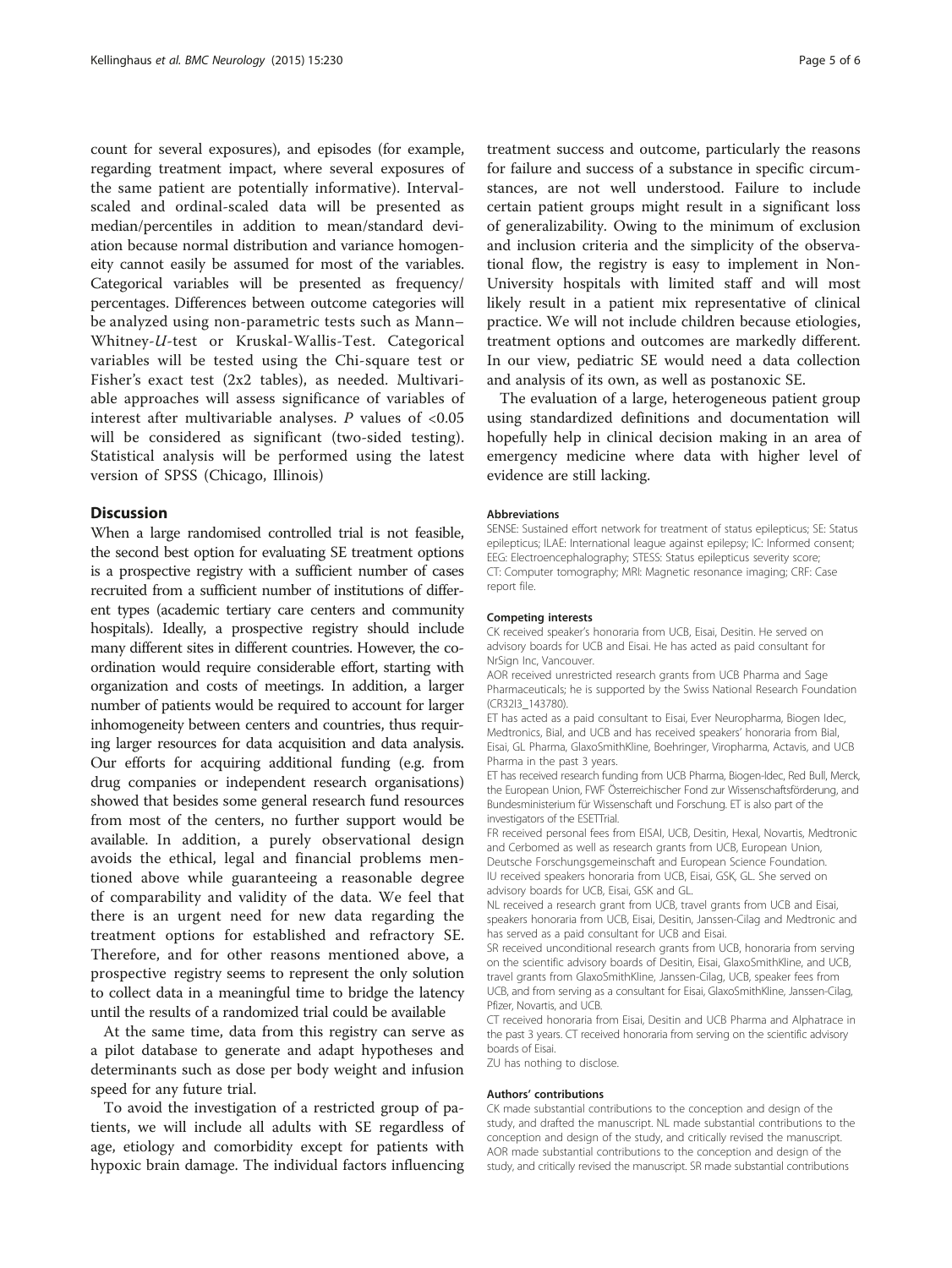count for several exposures), and episodes (for example, regarding treatment impact, where several exposures of the same patient are potentially informative). Intervalscaled and ordinal-scaled data will be presented as median/percentiles in addition to mean/standard deviation because normal distribution and variance homogeneity cannot easily be assumed for most of the variables. Categorical variables will be presented as frequency/ percentages. Differences between outcome categories will be analyzed using non-parametric tests such as Mann– Whitney-U-test or Kruskal-Wallis-Test. Categorical variables will be tested using the Chi-square test or Fisher's exact test (2x2 tables), as needed. Multivariable approaches will assess significance of variables of interest after multivariable analyses. P values of  $< 0.05$ will be considered as significant (two-sided testing). Statistical analysis will be performed using the latest version of SPSS (Chicago, Illinois)

# **Discussion**

When a large randomised controlled trial is not feasible, the second best option for evaluating SE treatment options is a prospective registry with a sufficient number of cases recruited from a sufficient number of institutions of different types (academic tertiary care centers and community hospitals). Ideally, a prospective registry should include many different sites in different countries. However, the coordination would require considerable effort, starting with organization and costs of meetings. In addition, a larger number of patients would be required to account for larger inhomogeneity between centers and countries, thus requiring larger resources for data acquisition and data analysis. Our efforts for acquiring additional funding (e.g. from drug companies or independent research organisations) showed that besides some general research fund resources from most of the centers, no further support would be available. In addition, a purely observational design avoids the ethical, legal and financial problems mentioned above while guaranteeing a reasonable degree of comparability and validity of the data. We feel that there is an urgent need for new data regarding the treatment options for established and refractory SE. Therefore, and for other reasons mentioned above, a prospective registry seems to represent the only solution to collect data in a meaningful time to bridge the latency until the results of a randomized trial could be available

At the same time, data from this registry can serve as a pilot database to generate and adapt hypotheses and determinants such as dose per body weight and infusion speed for any future trial.

To avoid the investigation of a restricted group of patients, we will include all adults with SE regardless of age, etiology and comorbidity except for patients with hypoxic brain damage. The individual factors influencing

treatment success and outcome, particularly the reasons for failure and success of a substance in specific circumstances, are not well understood. Failure to include certain patient groups might result in a significant loss of generalizability. Owing to the minimum of exclusion and inclusion criteria and the simplicity of the observational flow, the registry is easy to implement in Non-University hospitals with limited staff and will most likely result in a patient mix representative of clinical practice. We will not include children because etiologies, treatment options and outcomes are markedly different. In our view, pediatric SE would need a data collection and analysis of its own, as well as postanoxic SE.

The evaluation of a large, heterogeneous patient group using standardized definitions and documentation will hopefully help in clinical decision making in an area of emergency medicine where data with higher level of evidence are still lacking.

#### Abbreviations

SENSE: Sustained effort network for treatment of status epilepticus; SE: Status epilepticus; ILAE: International league against epilepsy; IC: Informed consent; EEG: Electroencephalography; STESS: Status epilepticus severity score; CT: Computer tomography; MRI: Magnetic resonance imaging; CRF: Case report file.

#### Competing interests

CK received speaker's honoraria from UCB, Eisai, Desitin. He served on advisory boards for UCB and Eisai. He has acted as paid consultant for NrSign Inc, Vancouver.

AOR received unrestricted research grants from UCB Pharma and Sage Pharmaceuticals; he is supported by the Swiss National Research Foundation (CR32I3\_143780).

ET has acted as a paid consultant to Eisai, Ever Neuropharma, Biogen Idec, Medtronics, Bial, and UCB and has received speakers' honoraria from Bial, Eisai, GL Pharma, GlaxoSmithKline, Boehringer, Viropharma, Actavis, and UCB Pharma in the past 3 years.

ET has received research funding from UCB Pharma, Biogen-Idec, Red Bull, Merck, the European Union, FWF Österreichischer Fond zur Wissenschaftsförderung, and Bundesministerium für Wissenschaft und Forschung. ET is also part of the investigators of the ESETTrial.

FR received personal fees from EISAI, UCB, Desitin, Hexal, Novartis, Medtronic and Cerbomed as well as research grants from UCB, European Union, Deutsche Forschungsgemeinschaft and European Science Foundation. IU received speakers honoraria from UCB, Eisai, GSK, GL. She served on advisory boards for UCB, Eisai, GSK and GL.

NL received a research grant from UCB, travel grants from UCB and Eisai, speakers honoraria from UCB, Eisai, Desitin, Janssen-Cilag and Medtronic and has served as a paid consultant for UCB and Eisai.

SR received unconditional research grants from UCB, honoraria from serving on the scientific advisory boards of Desitin, Eisai, GlaxoSmithKline, and UCB, travel grants from GlaxoSmithKline, Janssen-Cilag, UCB, speaker fees from UCB, and from serving as a consultant for Eisai, GlaxoSmithKline, Janssen-Cilag, Pfizer, Novartis, and UCB.

CT received honoraria from Eisai, Desitin and UCB Pharma and Alphatrace in the past 3 years. CT received honoraria from serving on the scientific advisory boards of Eisai.

ZU has nothing to disclose.

#### Authors' contributions

CK made substantial contributions to the conception and design of the study, and drafted the manuscript. NL made substantial contributions to the conception and design of the study, and critically revised the manuscript. AOR made substantial contributions to the conception and design of the study, and critically revised the manuscript. SR made substantial contributions